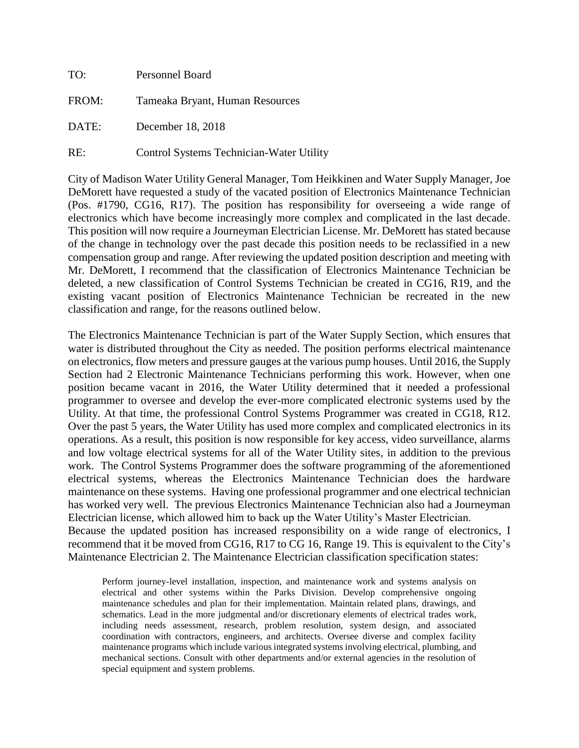| TO:   | Personnel Board                          |  |
|-------|------------------------------------------|--|
| FROM: | Tameaka Bryant, Human Resources          |  |
| DATE: | December 18, 2018                        |  |
| RE:   | Control Systems Technician-Water Utility |  |

City of Madison Water Utility General Manager, Tom Heikkinen and Water Supply Manager, Joe DeMorett have requested a study of the vacated position of Electronics Maintenance Technician (Pos. #1790, CG16, R17). The position has responsibility for overseeing a wide range of electronics which have become increasingly more complex and complicated in the last decade. This position will now require a Journeyman Electrician License. Mr. DeMorett has stated because of the change in technology over the past decade this position needs to be reclassified in a new compensation group and range. After reviewing the updated position description and meeting with Mr. DeMorett, I recommend that the classification of Electronics Maintenance Technician be deleted, a new classification of Control Systems Technician be created in CG16, R19, and the existing vacant position of Electronics Maintenance Technician be recreated in the new classification and range, for the reasons outlined below.

The Electronics Maintenance Technician is part of the Water Supply Section, which ensures that water is distributed throughout the City as needed. The position performs electrical maintenance on electronics, flow meters and pressure gauges at the various pump houses. Until 2016, the Supply Section had 2 Electronic Maintenance Technicians performing this work. However, when one position became vacant in 2016, the Water Utility determined that it needed a professional programmer to oversee and develop the ever-more complicated electronic systems used by the Utility. At that time, the professional Control Systems Programmer was created in CG18, R12. Over the past 5 years, the Water Utility has used more complex and complicated electronics in its operations. As a result, this position is now responsible for key access, video surveillance, alarms and low voltage electrical systems for all of the Water Utility sites, in addition to the previous work. The Control Systems Programmer does the software programming of the aforementioned electrical systems, whereas the Electronics Maintenance Technician does the hardware maintenance on these systems. Having one professional programmer and one electrical technician has worked very well. The previous Electronics Maintenance Technician also had a Journeyman Electrician license, which allowed him to back up the Water Utility's Master Electrician. Because the updated position has increased responsibility on a wide range of electronics, I recommend that it be moved from CG16, R17 to CG 16, Range 19. This is equivalent to the City's Maintenance Electrician 2. The Maintenance Electrician classification specification states:

Perform journey-level installation, inspection, and maintenance work and systems analysis on electrical and other systems within the Parks Division. Develop comprehensive ongoing maintenance schedules and plan for their implementation. Maintain related plans, drawings, and schematics. Lead in the more judgmental and/or discretionary elements of electrical trades work, including needs assessment, research, problem resolution, system design, and associated coordination with contractors, engineers, and architects. Oversee diverse and complex facility maintenance programs which include various integrated systems involving electrical, plumbing, and mechanical sections. Consult with other departments and/or external agencies in the resolution of special equipment and system problems.